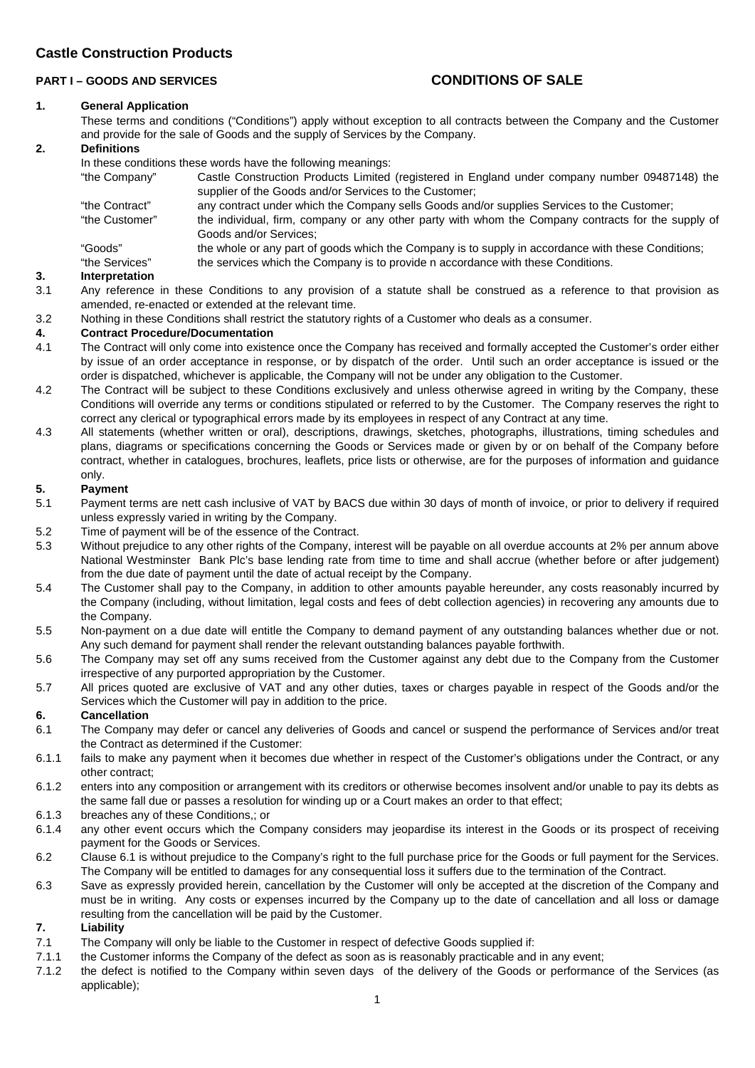# **PART I – GOODS AND SERVICES CONDITIONS OF SALE**

## **1. General Application**

These terms and conditions ("Conditions") apply without exception to all contracts between the Company and the Customer and provide for the sale of Goods and the supply of Services by the Company.

## **2. Definitions**

In these conditions these words have the following meanings:

| "the Company"  | Castle Construction Products Limited (registered in England under company number 09487148) the     |
|----------------|----------------------------------------------------------------------------------------------------|
|                | supplier of the Goods and/or Services to the Customer;                                             |
| "the Contract" | any contract under which the Company sells Goods and/or supplies Services to the Customer;         |
| "the Customer" | the individual, firm, company or any other party with whom the Company contracts for the supply of |
|                | Goods and/or Services;                                                                             |
| "Goods"        | the whole or any part of goods which the Company is to supply in accordance with these Conditions; |
| "the Services" | the services which the Company is to provide n accordance with these Conditions.                   |

#### **3. Interpretation**

- 3.1 Any reference in these Conditions to any provision of a statute shall be construed as a reference to that provision as amended, re-enacted or extended at the relevant time.
- 3.2 Nothing in these Conditions shall restrict the statutory rights of a Customer who deals as a consumer.

## **4. Contract Procedure/Documentation**

- 4.1 The Contract will only come into existence once the Company has received and formally accepted the Customer's order either by issue of an order acceptance in response, or by dispatch of the order. Until such an order acceptance is issued or the order is dispatched, whichever is applicable, the Company will not be under any obligation to the Customer.
- 4.2 The Contract will be subject to these Conditions exclusively and unless otherwise agreed in writing by the Company, these Conditions will override any terms or conditions stipulated or referred to by the Customer. The Company reserves the right to correct any clerical or typographical errors made by its employees in respect of any Contract at any time.
- 4.3 All statements (whether written or oral), descriptions, drawings, sketches, photographs, illustrations, timing schedules and plans, diagrams or specifications concerning the Goods or Services made or given by or on behalf of the Company before contract, whether in catalogues, brochures, leaflets, price lists or otherwise, are for the purposes of information and guidance only.

#### **5. Payment**

- 5.1 Payment terms are nett cash inclusive of VAT by BACS due within 30 days of month of invoice, or prior to delivery if required unless expressly varied in writing by the Company.
- 5.2 Time of payment will be of the essence of the Contract.
- 5.3 Without prejudice to any other rights of the Company, interest will be payable on all overdue accounts at 2% per annum above National Westminster Bank Plc's base lending rate from time to time and shall accrue (whether before or after judgement) from the due date of payment until the date of actual receipt by the Company.
- 5.4 The Customer shall pay to the Company, in addition to other amounts payable hereunder, any costs reasonably incurred by the Company (including, without limitation, legal costs and fees of debt collection agencies) in recovering any amounts due to the Company.
- 5.5 Non-payment on a due date will entitle the Company to demand payment of any outstanding balances whether due or not. Any such demand for payment shall render the relevant outstanding balances payable forthwith.
- 5.6 The Company may set off any sums received from the Customer against any debt due to the Company from the Customer irrespective of any purported appropriation by the Customer.
- 5.7 All prices quoted are exclusive of VAT and any other duties, taxes or charges payable in respect of the Goods and/or the Services which the Customer will pay in addition to the price.

#### **6. Cancellation**

- 6.1 The Company may defer or cancel any deliveries of Goods and cancel or suspend the performance of Services and/or treat the Contract as determined if the Customer:
- 6.1.1 fails to make any payment when it becomes due whether in respect of the Customer's obligations under the Contract, or any other contract;
- 6.1.2 enters into any composition or arrangement with its creditors or otherwise becomes insolvent and/or unable to pay its debts as the same fall due or passes a resolution for winding up or a Court makes an order to that effect;
- 6.1.3 breaches any of these Conditions,; or
- 6.1.4 any other event occurs which the Company considers may jeopardise its interest in the Goods or its prospect of receiving payment for the Goods or Services.
- 6.2 Clause 6.1 is without prejudice to the Company's right to the full purchase price for the Goods or full payment for the Services. The Company will be entitled to damages for any consequential loss it suffers due to the termination of the Contract.
- 6.3 Save as expressly provided herein, cancellation by the Customer will only be accepted at the discretion of the Company and must be in writing. Any costs or expenses incurred by the Company up to the date of cancellation and all loss or damage resulting from the cancellation will be paid by the Customer.

## **7. Liability**

- 7.1 The Company will only be liable to the Customer in respect of defective Goods supplied if:
- 7.1.1 the Customer informs the Company of the defect as soon as is reasonably practicable and in any event;
- 7.1.2 the defect is notified to the Company within seven days of the delivery of the Goods or performance of the Services (as applicable);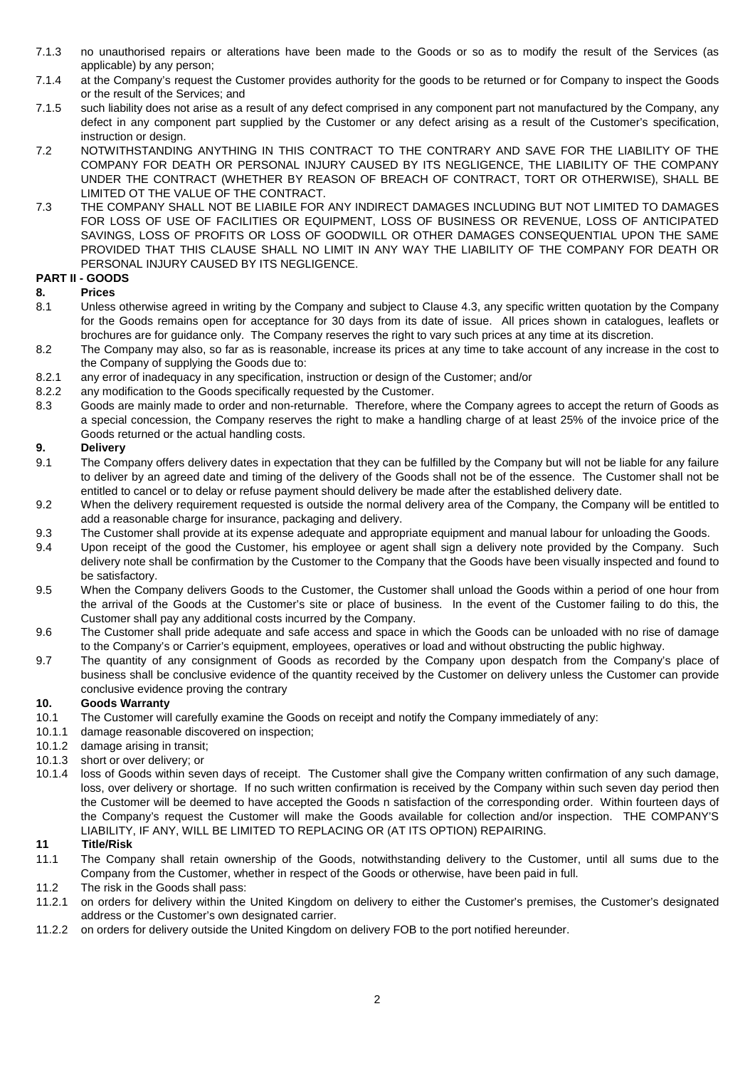- 7.1.3 no unauthorised repairs or alterations have been made to the Goods or so as to modify the result of the Services (as applicable) by any person;
- 7.1.4 at the Company's request the Customer provides authority for the goods to be returned or for Company to inspect the Goods or the result of the Services; and
- 7.1.5 such liability does not arise as a result of any defect comprised in any component part not manufactured by the Company, any defect in any component part supplied by the Customer or any defect arising as a result of the Customer's specification, instruction or design.
- 7.2 NOTWITHSTANDING ANYTHING IN THIS CONTRACT TO THE CONTRARY AND SAVE FOR THE LIABILITY OF THE COMPANY FOR DEATH OR PERSONAL INJURY CAUSED BY ITS NEGLIGENCE, THE LIABILITY OF THE COMPANY UNDER THE CONTRACT (WHETHER BY REASON OF BREACH OF CONTRACT, TORT OR OTHERWISE), SHALL BE LIMITED OT THE VALUE OF THE CONTRACT.
- 7.3 THE COMPANY SHALL NOT BE LIABILE FOR ANY INDIRECT DAMAGES INCLUDING BUT NOT LIMITED TO DAMAGES FOR LOSS OF USE OF FACILITIES OR EQUIPMENT, LOSS OF BUSINESS OR REVENUE, LOSS OF ANTICIPATED SAVINGS, LOSS OF PROFITS OR LOSS OF GOODWILL OR OTHER DAMAGES CONSEQUENTIAL UPON THE SAME PROVIDED THAT THIS CLAUSE SHALL NO LIMIT IN ANY WAY THE LIABILITY OF THE COMPANY FOR DEATH OR PERSONAL INJURY CAUSED BY ITS NEGLIGENCE.

# **PART II - GOODS**

## **8. Prices**

- 8.1 Unless otherwise agreed in writing by the Company and subject to Clause 4.3, any specific written quotation by the Company for the Goods remains open for acceptance for 30 days from its date of issue. All prices shown in catalogues, leaflets or brochures are for guidance only. The Company reserves the right to vary such prices at any time at its discretion.
- 8.2 The Company may also, so far as is reasonable, increase its prices at any time to take account of any increase in the cost to the Company of supplying the Goods due to:
- 8.2.1 any error of inadequacy in any specification, instruction or design of the Customer; and/or
- 8.2.2 any modification to the Goods specifically requested by the Customer.
- 8.3 Goods are mainly made to order and non-returnable. Therefore, where the Company agrees to accept the return of Goods as a special concession, the Company reserves the right to make a handling charge of at least 25% of the invoice price of the Goods returned or the actual handling costs.

## **9. Delivery**

- 9.1 The Company offers delivery dates in expectation that they can be fulfilled by the Company but will not be liable for any failure to deliver by an agreed date and timing of the delivery of the Goods shall not be of the essence. The Customer shall not be entitled to cancel or to delay or refuse payment should delivery be made after the established delivery date.
- 9.2 When the delivery requirement requested is outside the normal delivery area of the Company, the Company will be entitled to add a reasonable charge for insurance, packaging and delivery.
- 9.3 The Customer shall provide at its expense adequate and appropriate equipment and manual labour for unloading the Goods.
- 9.4 Upon receipt of the good the Customer, his employee or agent shall sign a delivery note provided by the Company. Such delivery note shall be confirmation by the Customer to the Company that the Goods have been visually inspected and found to be satisfactory.
- 9.5 When the Company delivers Goods to the Customer, the Customer shall unload the Goods within a period of one hour from the arrival of the Goods at the Customer's site or place of business. In the event of the Customer failing to do this, the Customer shall pay any additional costs incurred by the Company.
- 9.6 The Customer shall pride adequate and safe access and space in which the Goods can be unloaded with no rise of damage to the Company's or Carrier's equipment, employees, operatives or load and without obstructing the public highway.
- 9.7 The quantity of any consignment of Goods as recorded by the Company upon despatch from the Company's place of business shall be conclusive evidence of the quantity received by the Customer on delivery unless the Customer can provide conclusive evidence proving the contrary

# **10. Goods Warranty**

- 10.1 The Customer will carefully examine the Goods on receipt and notify the Company immediately of any:
- 10.1.1 damage reasonable discovered on inspection;<br>10.1.2 damage arising in transit:
- 10.1.2 damage arising in transit;<br>10.1.3 short or over delivery; or
- 10.1.3 short or over delivery; or<br>10.1.4 loss of Goods within sev
- loss of Goods within seven days of receipt. The Customer shall give the Company written confirmation of any such damage, loss, over delivery or shortage. If no such written confirmation is received by the Company within such seven day period then the Customer will be deemed to have accepted the Goods n satisfaction of the corresponding order. Within fourteen days of the Company's request the Customer will make the Goods available for collection and/or inspection. THE COMPANY'S LIABILITY, IF ANY, WILL BE LIMITED TO REPLACING OR (AT ITS OPTION) REPAIRING.

## **11 Title/Risk**

- 11.1 The Company shall retain ownership of the Goods, notwithstanding delivery to the Customer, until all sums due to the Company from the Customer, whether in respect of the Goods or otherwise, have been paid in full.
- 11.2 The risk in the Goods shall pass:
- 11.2.1 on orders for delivery within the United Kingdom on delivery to either the Customer's premises, the Customer's designated address or the Customer's own designated carrier.
- 11.2.2 on orders for delivery outside the United Kingdom on delivery FOB to the port notified hereunder.